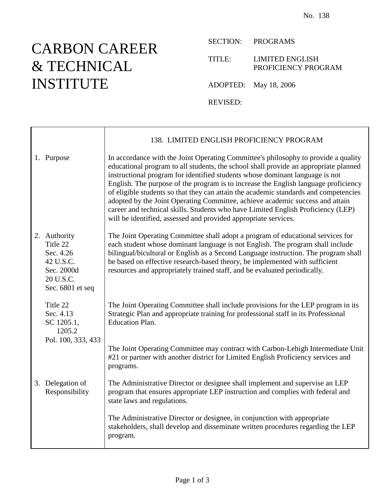## CARBON CAREER & TECHNICAL INSTITUTE

SECTION: PROGRAMS

TITLE: LIMITED ENGLISH PROFICIENCY PROGRAM

ADOPTED: May 18, 2006

REVISED:

|                                                                                                   | 138. LIMITED ENGLISH PROFICIENCY PROGRAM                                                                                                                                                                                                                                                                                                                                                                                                                                                                                                                                                                                                                                          |
|---------------------------------------------------------------------------------------------------|-----------------------------------------------------------------------------------------------------------------------------------------------------------------------------------------------------------------------------------------------------------------------------------------------------------------------------------------------------------------------------------------------------------------------------------------------------------------------------------------------------------------------------------------------------------------------------------------------------------------------------------------------------------------------------------|
| 1. Purpose                                                                                        | In accordance with the Joint Operating Committee's philosophy to provide a quality<br>educational program to all students, the school shall provide an appropriate planned<br>instructional program for identified students whose dominant language is not<br>English. The purpose of the program is to increase the English language proficiency<br>of eligible students so that they can attain the academic standards and competencies<br>adopted by the Joint Operating Committee, achieve academic success and attain<br>career and technical skills. Students who have Limited English Proficiency (LEP)<br>will be identified, assessed and provided appropriate services. |
| 2. Authority<br>Title 22<br>Sec. 4.26<br>42 U.S.C.<br>Sec. 2000d<br>20 U.S.C.<br>Sec. 6801 et seq | The Joint Operating Committee shall adopt a program of educational services for<br>each student whose dominant language is not English. The program shall include<br>bilingual/bicultural or English as a Second Language instruction. The program shall<br>be based on effective research-based theory, be implemented with sufficient<br>resources and appropriately trained staff, and be evaluated periodically.                                                                                                                                                                                                                                                              |
| Title 22<br>Sec. 4.13<br>SC 1205.1,<br>1205.2<br>Pol. 100, 333, 433                               | The Joint Operating Committee shall include provisions for the LEP program in its<br>Strategic Plan and appropriate training for professional staff in its Professional<br><b>Education Plan.</b>                                                                                                                                                                                                                                                                                                                                                                                                                                                                                 |
|                                                                                                   | The Joint Operating Committee may contract with Carbon-Lehigh Intermediate Unit<br>#21 or partner with another district for Limited English Proficiency services and<br>programs.                                                                                                                                                                                                                                                                                                                                                                                                                                                                                                 |
| 3. Delegation of<br>Responsibility                                                                | The Administrative Director or designee shall implement and supervise an LEP<br>program that ensures appropriate LEP instruction and complies with federal and<br>state laws and regulations.                                                                                                                                                                                                                                                                                                                                                                                                                                                                                     |
|                                                                                                   | The Administrative Director or designee, in conjunction with appropriate<br>stakeholders, shall develop and disseminate written procedures regarding the LEP<br>program.                                                                                                                                                                                                                                                                                                                                                                                                                                                                                                          |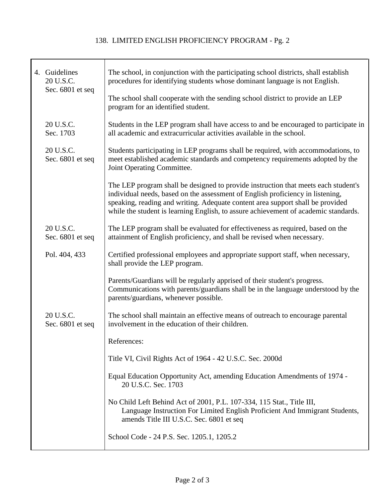## 138. LIMITED ENGLISH PROFICIENCY PROGRAM - Pg. 2

|  | 4. Guidelines<br>20 U.S.C.<br>Sec. 6801 et seq | The school, in conjunction with the participating school districts, shall establish<br>procedures for identifying students whose dominant language is not English.<br>The school shall cooperate with the sending school district to provide an LEP                                                                                           |
|--|------------------------------------------------|-----------------------------------------------------------------------------------------------------------------------------------------------------------------------------------------------------------------------------------------------------------------------------------------------------------------------------------------------|
|  |                                                | program for an identified student.                                                                                                                                                                                                                                                                                                            |
|  | 20 U.S.C.<br>Sec. 1703                         | Students in the LEP program shall have access to and be encouraged to participate in<br>all academic and extracurricular activities available in the school.                                                                                                                                                                                  |
|  | 20 U.S.C.<br>Sec. 6801 et seq                  | Students participating in LEP programs shall be required, with accommodations, to<br>meet established academic standards and competency requirements adopted by the<br>Joint Operating Committee.                                                                                                                                             |
|  |                                                | The LEP program shall be designed to provide instruction that meets each student's<br>individual needs, based on the assessment of English proficiency in listening,<br>speaking, reading and writing. Adequate content area support shall be provided<br>while the student is learning English, to assure achievement of academic standards. |
|  | 20 U.S.C.<br>Sec. 6801 et seq                  | The LEP program shall be evaluated for effectiveness as required, based on the<br>attainment of English proficiency, and shall be revised when necessary.                                                                                                                                                                                     |
|  | Pol. 404, 433                                  | Certified professional employees and appropriate support staff, when necessary,<br>shall provide the LEP program.                                                                                                                                                                                                                             |
|  |                                                | Parents/Guardians will be regularly apprised of their student's progress.<br>Communications with parents/guardians shall be in the language understood by the<br>parents/guardians, whenever possible.                                                                                                                                        |
|  | 20 U.S.C.<br>Sec. 6801 et seq                  | The school shall maintain an effective means of outreach to encourage parental<br>involvement in the education of their children.                                                                                                                                                                                                             |
|  |                                                | References:                                                                                                                                                                                                                                                                                                                                   |
|  |                                                | Title VI, Civil Rights Act of 1964 - 42 U.S.C. Sec. 2000d                                                                                                                                                                                                                                                                                     |
|  |                                                | Equal Education Opportunity Act, amending Education Amendments of 1974 -<br>20 U.S.C. Sec. 1703                                                                                                                                                                                                                                               |
|  |                                                | No Child Left Behind Act of 2001, P.L. 107-334, 115 Stat., Title III,<br>Language Instruction For Limited English Proficient And Immigrant Students,<br>amends Title III U.S.C. Sec. 6801 et seq                                                                                                                                              |
|  |                                                | School Code - 24 P.S. Sec. 1205.1, 1205.2                                                                                                                                                                                                                                                                                                     |